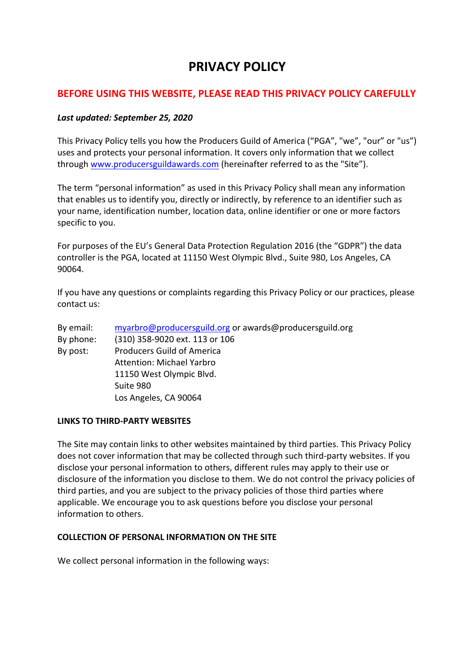# **PRIVACY POLICY**

# **BEFORE USING THIS WEBSITE, PLEASE READ THIS PRIVACY POLICY CAREFULLY**

## *Last updated: September 25, 2020*

This Privacy Policy tells you how the Producers Guild of America ("PGA", "we", "our" or "us") uses and protects your personal information. It covers only information that we collect through www.producersguildawards.com (hereinafter referred to as the "Site").

The term "personal information" as used in this Privacy Policy shall mean any information that enables us to identify you, directly or indirectly, by reference to an identifier such as your name, identification number, location data, online identifier or one or more factors specific to you.

For purposes of the EU's General Data Protection Regulation 2016 (the "GDPR") the data controller is the PGA, located at 11150 West Olympic Blvd., Suite 980, Los Angeles, CA 90064.

If you have any questions or complaints regarding this Privacy Policy or our practices, please contact us:

| By email: | myarbro@producersguild.org or awards@producersguild.org |
|-----------|---------------------------------------------------------|
| By phone: | (310) 358-9020 ext. 113 or 106                          |
| By post:  | <b>Producers Guild of America</b>                       |
|           | <b>Attention: Michael Yarbro</b>                        |
|           | 11150 West Olympic Blvd.                                |
|           | Suite 980                                               |
|           | Los Angeles, CA 90064                                   |

#### **LINKS TO THIRD-PARTY WEBSITES**

The Site may contain links to other websites maintained by third parties. This Privacy Policy does not cover information that may be collected through such third-party websites. If you disclose your personal information to others, different rules may apply to their use or disclosure of the information you disclose to them. We do not control the privacy policies of third parties, and you are subject to the privacy policies of those third parties where applicable. We encourage you to ask questions before you disclose your personal information to others.

#### **COLLECTION OF PERSONAL INFORMATION ON THE SITE**

We collect personal information in the following ways: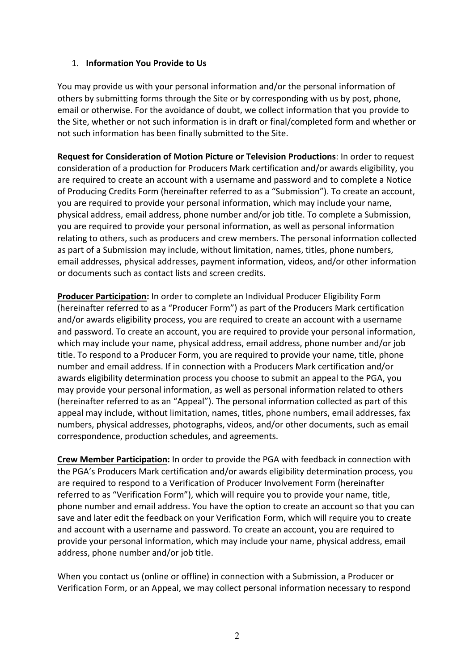# 1. **Information You Provide to Us**

You may provide us with your personal information and/or the personal information of others by submitting forms through the Site or by corresponding with us by post, phone, email or otherwise. For the avoidance of doubt, we collect information that you provide to the Site, whether or not such information is in draft or final/completed form and whether or not such information has been finally submitted to the Site.

**Request for Consideration of Motion Picture or Television Productions**: In order to request consideration of a production for Producers Mark certification and/or awards eligibility, you are required to create an account with a username and password and to complete a Notice of Producing Credits Form (hereinafter referred to as a "Submission"). To create an account, you are required to provide your personal information, which may include your name, physical address, email address, phone number and/or job title. To complete a Submission, you are required to provide your personal information, as well as personal information relating to others, such as producers and crew members. The personal information collected as part of a Submission may include, without limitation, names, titles, phone numbers, email addresses, physical addresses, payment information, videos, and/or other information or documents such as contact lists and screen credits.

**Producer Participation:** In order to complete an Individual Producer Eligibility Form (hereinafter referred to as a "Producer Form") as part of the Producers Mark certification and/or awards eligibility process, you are required to create an account with a username and password. To create an account, you are required to provide your personal information, which may include your name, physical address, email address, phone number and/or job title. To respond to a Producer Form, you are required to provide your name, title, phone number and email address. If in connection with a Producers Mark certification and/or awards eligibility determination process you choose to submit an appeal to the PGA, you may provide your personal information, as well as personal information related to others (hereinafter referred to as an "Appeal"). The personal information collected as part of this appeal may include, without limitation, names, titles, phone numbers, email addresses, fax numbers, physical addresses, photographs, videos, and/or other documents, such as email correspondence, production schedules, and agreements.

**Crew Member Participation:** In order to provide the PGA with feedback in connection with the PGA's Producers Mark certification and/or awards eligibility determination process, you are required to respond to a Verification of Producer Involvement Form (hereinafter referred to as "Verification Form"), which will require you to provide your name, title, phone number and email address. You have the option to create an account so that you can save and later edit the feedback on your Verification Form, which will require you to create and account with a username and password. To create an account, you are required to provide your personal information, which may include your name, physical address, email address, phone number and/or job title.

When you contact us (online or offline) in connection with a Submission, a Producer or Verification Form, or an Appeal, we may collect personal information necessary to respond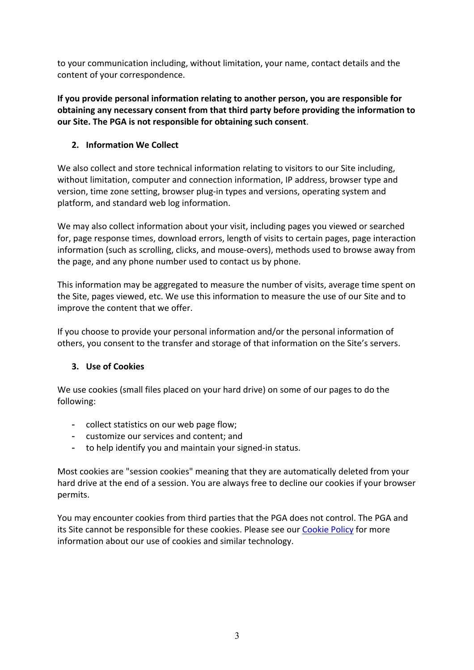to your communication including, without limitation, your name, contact details and the content of your correspondence.

**If you provide personal information relating to another person, you are responsible for obtaining any necessary consent from that third party before providing the information to our Site. The PGA is not responsible for obtaining such consent**.

# **2. Information We Collect**

We also collect and store technical information relating to visitors to our Site including, without limitation, computer and connection information, IP address, browser type and version, time zone setting, browser plug-in types and versions, operating system and platform, and standard web log information.

We may also collect information about your visit, including pages you viewed or searched for, page response times, download errors, length of visits to certain pages, page interaction information (such as scrolling, clicks, and mouse-overs), methods used to browse away from the page, and any phone number used to contact us by phone.

This information may be aggregated to measure the number of visits, average time spent on the Site, pages viewed, etc. We use this information to measure the use of our Site and to improve the content that we offer.

If you choose to provide your personal information and/or the personal information of others, you consent to the transfer and storage of that information on the Site's servers.

# **3. Use of Cookies**

We use cookies (small files placed on your hard drive) on some of our pages to do the following:

- collect statistics on our web page flow;
- customize our services and content; and
- to help identify you and maintain your signed-in status.

Most cookies are "session cookies" meaning that they are automatically deleted from your hard drive at the end of a session. You are always free to decline our cookies if your browser permits.

You may encounter cookies from third parties that the PGA does not control. The PGA and its Site cannot be responsible for these cookies. Please see our Cookie Policy for more information about our use of cookies and similar technology.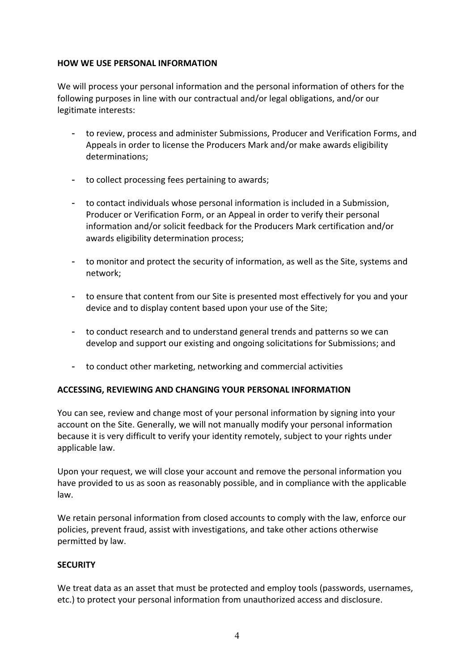# **HOW WE USE PERSONAL INFORMATION**

We will process your personal information and the personal information of others for the following purposes in line with our contractual and/or legal obligations, and/or our legitimate interests:

- to review, process and administer Submissions, Producer and Verification Forms, and Appeals in order to license the Producers Mark and/or make awards eligibility determinations;
- to collect processing fees pertaining to awards;
- to contact individuals whose personal information is included in a Submission, Producer or Verification Form, or an Appeal in order to verify their personal information and/or solicit feedback for the Producers Mark certification and/or awards eligibility determination process;
- to monitor and protect the security of information, as well as the Site, systems and network;
- to ensure that content from our Site is presented most effectively for you and your device and to display content based upon your use of the Site;
- to conduct research and to understand general trends and patterns so we can develop and support our existing and ongoing solicitations for Submissions; and
- to conduct other marketing, networking and commercial activities

# **ACCESSING, REVIEWING AND CHANGING YOUR PERSONAL INFORMATION**

You can see, review and change most of your personal information by signing into your account on the Site. Generally, we will not manually modify your personal information because it is very difficult to verify your identity remotely, subject to your rights under applicable law.

Upon your request, we will close your account and remove the personal information you have provided to us as soon as reasonably possible, and in compliance with the applicable law.

We retain personal information from closed accounts to comply with the law, enforce our policies, prevent fraud, assist with investigations, and take other actions otherwise permitted by law.

#### **SECURITY**

We treat data as an asset that must be protected and employ tools (passwords, usernames, etc.) to protect your personal information from unauthorized access and disclosure.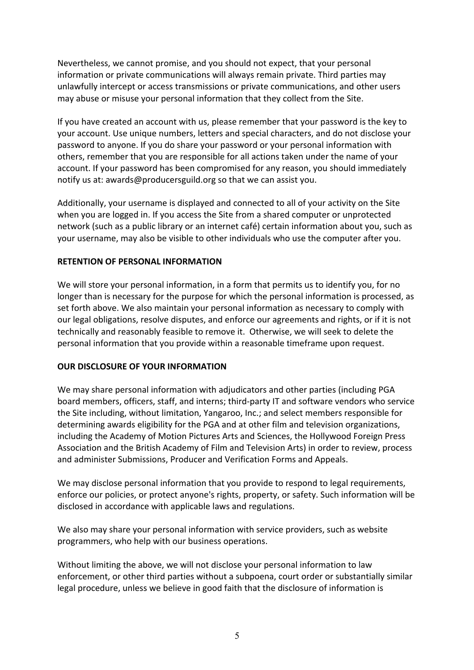Nevertheless, we cannot promise, and you should not expect, that your personal information or private communications will always remain private. Third parties may unlawfully intercept or access transmissions or private communications, and other users may abuse or misuse your personal information that they collect from the Site.

If you have created an account with us, please remember that your password is the key to your account. Use unique numbers, letters and special characters, and do not disclose your password to anyone. If you do share your password or your personal information with others, remember that you are responsible for all actions taken under the name of your account. If your password has been compromised for any reason, you should immediately notify us at: awards@producersguild.org so that we can assist you.

Additionally, your username is displayed and connected to all of your activity on the Site when you are logged in. If you access the Site from a shared computer or unprotected network (such as a public library or an internet café) certain information about you, such as your username, may also be visible to other individuals who use the computer after you.

#### **RETENTION OF PERSONAL INFORMATION**

We will store your personal information, in a form that permits us to identify you, for no longer than is necessary for the purpose for which the personal information is processed, as set forth above. We also maintain your personal information as necessary to comply with our legal obligations, resolve disputes, and enforce our agreements and rights, or if it is not technically and reasonably feasible to remove it. Otherwise, we will seek to delete the personal information that you provide within a reasonable timeframe upon request.

#### **OUR DISCLOSURE OF YOUR INFORMATION**

We may share personal information with adjudicators and other parties (including PGA board members, officers, staff, and interns; third-party IT and software vendors who service the Site including, without limitation, Yangaroo, Inc.; and select members responsible for determining awards eligibility for the PGA and at other film and television organizations, including the Academy of Motion Pictures Arts and Sciences, the Hollywood Foreign Press Association and the British Academy of Film and Television Arts) in order to review, process and administer Submissions, Producer and Verification Forms and Appeals.

We may disclose personal information that you provide to respond to legal requirements, enforce our policies, or protect anyone's rights, property, or safety. Such information will be disclosed in accordance with applicable laws and regulations.

We also may share your personal information with service providers, such as website programmers, who help with our business operations.

Without limiting the above, we will not disclose your personal information to law enforcement, or other third parties without a subpoena, court order or substantially similar legal procedure, unless we believe in good faith that the disclosure of information is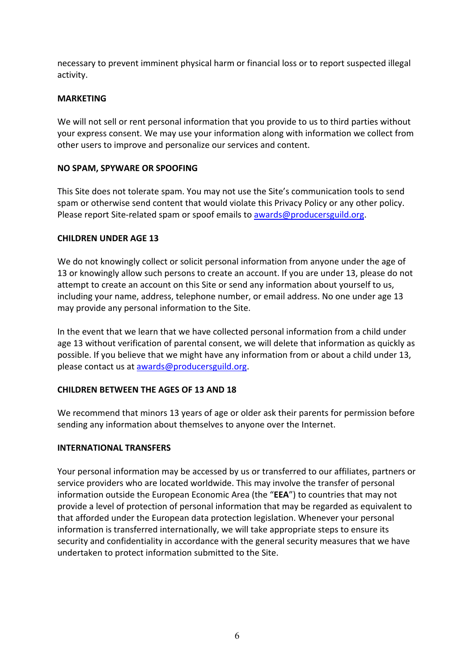necessary to prevent imminent physical harm or financial loss or to report suspected illegal activity.

# **MARKETING**

We will not sell or rent personal information that you provide to us to third parties without your express consent. We may use your information along with information we collect from other users to improve and personalize our services and content.

## **NO SPAM, SPYWARE OR SPOOFING**

This Site does not tolerate spam. You may not use the Site's communication tools to send spam or otherwise send content that would violate this Privacy Policy or any other policy. Please report Site-related spam or spoof emails to awards@producersguild.org.

## **CHILDREN UNDER AGE 13**

We do not knowingly collect or solicit personal information from anyone under the age of 13 or knowingly allow such persons to create an account. If you are under 13, please do not attempt to create an account on this Site or send any information about yourself to us, including your name, address, telephone number, or email address. No one under age 13 may provide any personal information to the Site.

In the event that we learn that we have collected personal information from a child under age 13 without verification of parental consent, we will delete that information as quickly as possible. If you believe that we might have any information from or about a child under 13, please contact us at awards@producersguild.org.

# **CHILDREN BETWEEN THE AGES OF 13 AND 18**

We recommend that minors 13 years of age or older ask their parents for permission before sending any information about themselves to anyone over the Internet.

# **INTERNATIONAL TRANSFERS**

Your personal information may be accessed by us or transferred to our affiliates, partners or service providers who are located worldwide. This may involve the transfer of personal information outside the European Economic Area (the "**EEA**") to countries that may not provide a level of protection of personal information that may be regarded as equivalent to that afforded under the European data protection legislation. Whenever your personal information is transferred internationally, we will take appropriate steps to ensure its security and confidentiality in accordance with the general security measures that we have undertaken to protect information submitted to the Site.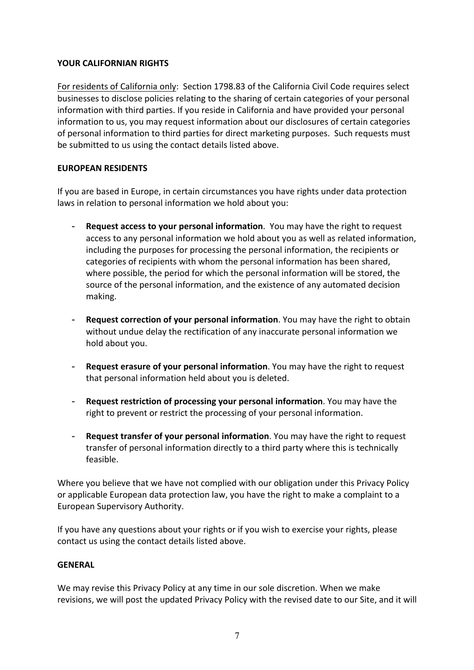# **YOUR CALIFORNIAN RIGHTS**

For residents of California only: Section 1798.83 of the California Civil Code requires select businesses to disclose policies relating to the sharing of certain categories of your personal information with third parties. If you reside in California and have provided your personal information to us, you may request information about our disclosures of certain categories of personal information to third parties for direct marketing purposes. Such requests must be submitted to us using the contact details listed above.

## **EUROPEAN RESIDENTS**

If you are based in Europe, in certain circumstances you have rights under data protection laws in relation to personal information we hold about you:

- **Request access to your personal information**. You may have the right to request access to any personal information we hold about you as well as related information, including the purposes for processing the personal information, the recipients or categories of recipients with whom the personal information has been shared, where possible, the period for which the personal information will be stored, the source of the personal information, and the existence of any automated decision making.
- **Request correction of your personal information**. You may have the right to obtain without undue delay the rectification of any inaccurate personal information we hold about you.
- **Request erasure of your personal information**. You may have the right to request that personal information held about you is deleted.
- **Request restriction of processing your personal information**. You may have the right to prevent or restrict the processing of your personal information.
- **Request transfer of your personal information**. You may have the right to request transfer of personal information directly to a third party where this is technically feasible.

Where you believe that we have not complied with our obligation under this Privacy Policy or applicable European data protection law, you have the right to make a complaint to a European Supervisory Authority.

If you have any questions about your rights or if you wish to exercise your rights, please contact us using the contact details listed above.

#### **GENERAL**

We may revise this Privacy Policy at any time in our sole discretion. When we make revisions, we will post the updated Privacy Policy with the revised date to our Site, and it will